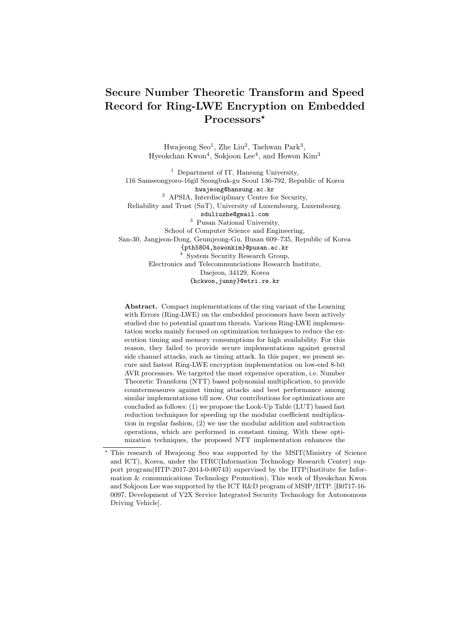# **Secure Number Theoretic Transform and Speed Record for Ring-LWE Encryption on Embedded Processors***<sup>⋆</sup>*

Hwajeong Seo<sup>1</sup>, Zhe Liu<sup>2</sup>, Taehwan Park<sup>3</sup>, Hyeokchan Kwon<sup>4</sup>, Sokjoon Lee<sup>4</sup>, and Howon Kim<sup>3</sup>

<sup>1</sup> Department of IT, Hansung University, 116 Samseongyoro-16gil Seongbuk-gu Seoul 136-792, Republic of Korea hwajeong@hansung.ac.kr <sup>2</sup> APSIA, Interdisciplinary Centre for Security, Reliability and Trust (SnT), University of Luxembourg, Luxembourg. sduliuzhe@gmail.com <sup>3</sup> Pusan National University, School of Computer Science and Engineering, San-30, Jangjeon-Dong, Geumjeong-Gu, Busan 609–735, Republic of Korea {pth5804,howonkim}@pusan.ac.kr <sup>4</sup> System Security Research Group, Electronics and Telecommunciations Research Institute, Daejeon, 34129, Korea {hckwon,junny}@etri.re.kr

**Abstract.** Compact implementations of the ring variant of the Learning with Errors (Ring-LWE) on the embedded processors have been actively studied due to potential quantum threats. Various Ring-LWE implementation works mainly focused on optimization techniques to reduce the execution timing and memory consumptions for high availability. For this reason, they failed to provide secure implementations against general side channel attacks, such as timing attack. In this paper, we present secure and fastest Ring-LWE encryption implementation on low-end 8-bit AVR processors. We targeted the most expensive operation, i.e. Number Theoretic Transform (NTT) based polynomial multiplication, to provide countermeasures against timing attacks and best performance among similar implementations till now. Our contributions for optimizations are concluded as follows: (1) we propose the Look-Up Table (LUT) based fast reduction techniques for speeding up the modular coefficient multiplication in regular fashion, (2) we use the modular addition and subtraction operations, which are performed in constant timing. With these optimization techniques, the proposed NTT implementation enhances the

*<sup>⋆</sup>* This research of Hwajeong Seo was supported by the MSIT(Ministry of Science and ICT), Korea, under the ITRC(Information Technology Research Center) support program(IITP-2017-2014-0-00743) supervised by the IITP(Institute for Information & communications Technology Promotion), This work of Hyeokchan Kwon and Sokjoon Lee was supported by the ICT R&D program of MSIP/IITP. [B0717-16- 0097, Development of V2X Service Integrated Security Technology for Autonomous Driving Vehicle].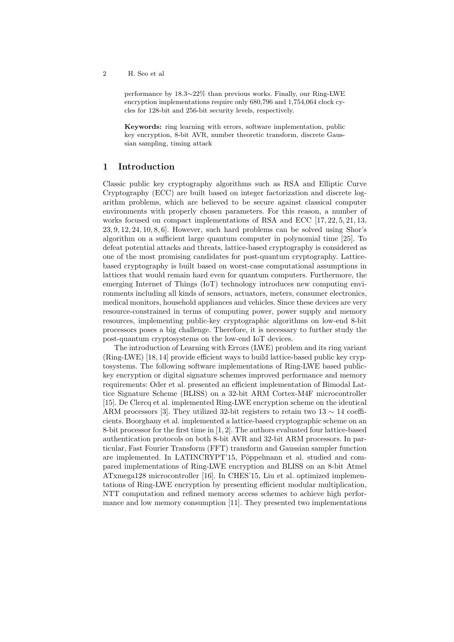performance by 18.3*∼*22% than previous works. Finally, our Ring-LWE encryption implementations require only 680,796 and 1,754,064 clock cycles for 128-bit and 256-bit security levels, respectively.

**Keywords:** ring learning with errors, software implementation, public key encryption, 8-bit AVR, number theoretic transform, discrete Gaussian sampling, timing attack

# **1 Introduction**

Classic public key cryptography algorithms such as RSA and Elliptic Curve Cryptography (ECC) are built based on integer factorization and discrete logarithm problems, which are believed to be secure against classical computer environments with properly chosen parameters. For this reason, a number of works focused on compact implementations of RSA and ECC [17, 22, 5, 21, 13,  $23, 9, 12, 24, 10, 8, 6$ . However, such hard problems can be solved using Shor's algorithm on a sufficient large quantum computer in polynomial time [25]. To defeat potential attacks and threats, lattice-based cryptography is considered as one of the most promising candidates for post-quantum cryptography. Latticebased cryptography is built based on worst-case computational assumptions in lattices that would remain hard even for quantum computers. Furthermore, the emerging Internet of Things (IoT) technology introduces new computing environments including all kinds of sensors, actuators, meters, consumer electronics, medical monitors, household appliances and vehicles. Since these devices are very resource-constrained in terms of computing power, power supply and memory resources, implementing public-key cryptographic algorithms on low-end 8-bit processors poses a big challenge. Therefore, it is necessary to further study the post-quantum cryptosystems on the low-end IoT devices.

The introduction of Learning with Errors (LWE) problem and its ring variant (Ring-LWE) [18, 14] provide efficient ways to build lattice-based public key cryptosystems. The following software implementations of Ring-LWE based publickey encryption or digital signature schemes improved performance and memory requirements: Oder et al. presented an efficient implementation of Bimodal Lattice Signature Scheme (BLISS) on a 32-bit ARM Cortex-M4F microcontroller [15]. De Clercq et al. implemented Ring-LWE encryption scheme on the identical ARM processors [3]. They utilized 32-bit registers to retain two 13 *∼* 14 coefficients. Boorghany et al. implemented a lattice-based cryptographic scheme on an 8-bit processor for the first time in [1, 2]. The authors evaluated four lattice-based authentication protocols on both 8-bit AVR and 32-bit ARM processors. In particular, Fast Fourier Transform (FFT) transform and Gaussian sampler function are implemented. In LATINCRYPT'15, Pöppelmann et al. studied and compared implementations of Ring-LWE encryption and BLISS on an 8-bit Atmel ATxmega128 microcontroller [16]. In CHES'15, Liu et al. optimized implementations of Ring-LWE encryption by presenting efficient modular multiplication, NTT computation and refined memory access schemes to achieve high performance and low memory consumption [11]. They presented two implementations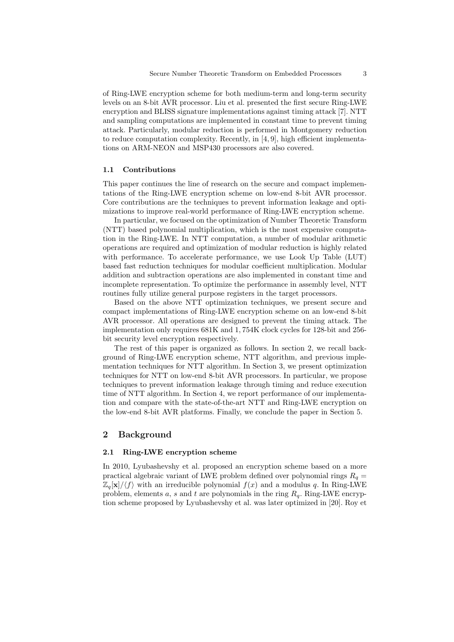of Ring-LWE encryption scheme for both medium-term and long-term security levels on an 8-bit AVR processor. Liu et al. presented the first secure Ring-LWE encryption and BLISS signature implementations against timing attack [7]. NTT and sampling computations are implemented in constant time to prevent timing attack. Particularly, modular reduction is performed in Montgomery reduction to reduce computation complexity. Recently, in [4, 9], high efficient implementations on ARM-NEON and MSP430 processors are also covered.

#### **1.1 Contributions**

This paper continues the line of research on the secure and compact implementations of the Ring-LWE encryption scheme on low-end 8-bit AVR processor. Core contributions are the techniques to prevent information leakage and optimizations to improve real-world performance of Ring-LWE encryption scheme.

In particular, we focused on the optimization of Number Theoretic Transform (NTT) based polynomial multiplication, which is the most expensive computation in the Ring-LWE. In NTT computation, a number of modular arithmetic operations are required and optimization of modular reduction is highly related with performance. To accelerate performance, we use Look Up Table (LUT) based fast reduction techniques for modular coefficient multiplication. Modular addition and subtraction operations are also implemented in constant time and incomplete representation. To optimize the performance in assembly level, NTT routines fully utilize general purpose registers in the target processors.

Based on the above NTT optimization techniques, we present secure and compact implementations of Ring-LWE encryption scheme on an low-end 8-bit AVR processor. All operations are designed to prevent the timing attack. The implementation only requires 681K and 1*,* 754K clock cycles for 128-bit and 256 bit security level encryption respectively.

The rest of this paper is organized as follows. In section 2, we recall background of Ring-LWE encryption scheme, NTT algorithm, and previous implementation techniques for NTT algorithm. In Section 3, we present optimization techniques for NTT on low-end 8-bit AVR processors. In particular, we propose techniques to prevent information leakage through timing and reduce execution time of NTT algorithm. In Section 4, we report performance of our implementation and compare with the state-of-the-art NTT and Ring-LWE encryption on the low-end 8-bit AVR platforms. Finally, we conclude the paper in Section 5.

## **2 Background**

#### **2.1 Ring-LWE encryption scheme**

In 2010, Lyubashevshy et al. proposed an encryption scheme based on a more practical algebraic variant of LWE problem defined over polynomial rings  $R_q =$  $\mathbb{Z}_q[\mathbf{x}]/\langle f \rangle$  with an irreducible polynomial  $f(x)$  and a modulus q. In Ring-LWE problem, elements *a*, *s* and *t* are polynomials in the ring *Rq*. Ring-LWE encryption scheme proposed by Lyubashevshy et al. was later optimized in [20]. Roy et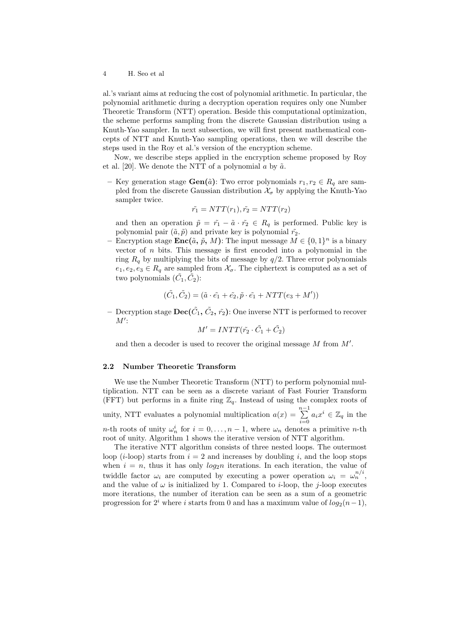al.'s variant aims at reducing the cost of polynomial arithmetic. In particular, the polynomial arithmetic during a decryption operation requires only one Number Theoretic Transform (NTT) operation. Beside this computational optimization, the scheme performs sampling from the discrete Gaussian distribution using a Knuth-Yao sampler. In next subsection, we will first present mathematical concepts of NTT and Knuth-Yao sampling operations, then we will describe the steps used in the Roy et al.'s version of the encryption scheme.

Now, we describe steps applied in the encryption scheme proposed by Roy et al. [20]. We denote the NTT of a polynomial  $\alpha$  by  $\tilde{\alpha}$ .

**−** Key generation stage **Gen**( $\tilde{a}$ ): Two error polynomials  $r_1, r_2 \in R_q$  are sampled from the discrete Gaussian distribution  $\mathcal{X}_{\sigma}$  by applying the Knuth-Yao sampler twice.

$$
\tilde{r_1} = NTT(r_1), \tilde{r_2} = NTT(r_2)
$$

and then an operation  $\tilde{p} = \tilde{r_1} - \tilde{a} \cdot \tilde{r_2} \in R_q$  is performed. Public key is polynomial pair  $(\tilde{a}, \tilde{p})$  and private key is polynomial  $\tilde{r}_2$ .

 $-$  Encryption stage **Enc**( $\tilde{a}$ ,  $\tilde{p}$ ,  $M$ ): The input message  $M \in \{0,1\}^n$  is a binary vector of *n* bits. This message is first encoded into a polynomial in the ring  $R_q$  by multiplying the bits of message by  $q/2$ . Three error polynomials  $e_1, e_2, e_3 \in R_q$  are sampled from  $\mathcal{X}_{\sigma}$ . The ciphertext is computed as a set of two polynomials  $(\tilde{C}_1, \tilde{C}_2)$ :

$$
(\tilde{C}_1, \tilde{C}_2) = (\tilde{a} \cdot \tilde{e_1} + \tilde{e_2}, \tilde{p} \cdot \tilde{e_1} + NTT(e_3 + M'))
$$

 $-$  Decryption stage  $\textbf{Dec}(\tilde{C_1}, \tilde{C_2}, \tilde{r_2})$ : One inverse NTT is performed to recover *M′* :

$$
M' = INTT(\tilde{r_2} \cdot \tilde{C_1} + \tilde{C_2})
$$

and then a decoder is used to recover the original message *M* from *M′* .

## **2.2 Number Theoretic Transform**

We use the Number Theoretic Transform (NTT) to perform polynomial multiplication. NTT can be seen as a discrete variant of Fast Fourier Transform (FFT) but performs in a finite ring  $\mathbb{Z}_q$ . Instead of using the complex roots of unity, NTT evaluates a polynomial multiplication  $a(x) = \sum_{n=1}^{n-1}$  $\sum_{i=0}^{\infty} a_i x^i \in \mathbb{Z}_q$  in the *n*-th roots of unity  $\omega_n^i$  for  $i = 0, \ldots, n-1$ , where  $\omega_n$  denotes a primitive *n*-th root of unity. Algorithm 1 shows the iterative version of NTT algorithm.

The iterative NTT algorithm consists of three nested loops. The outermost loop  $(i\text{-loop})$  starts from  $i = 2$  and increases by doubling *i*, and the loop stops when  $i = n$ , thus it has only  $log_2 n$  iterations. In each iteration, the value of twiddle factor  $\omega_i$  are computed by executing a power operation  $\omega_i = \omega_n^{n/i}$ , and the value of  $\omega$  is initialized by 1. Compared to *i*-loop, the *j*-loop executes more iterations, the number of iteration can be seen as a sum of a geometric progression for  $2^{i}$  where *i* starts from 0 and has a maximum value of  $log_2(n-1)$ ,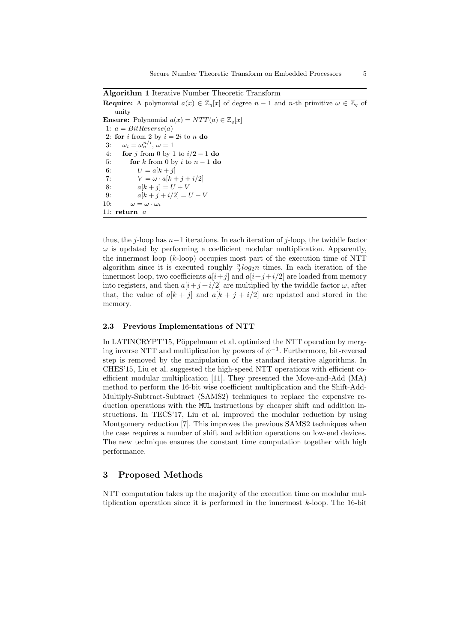**Algorithm 1** Iterative Number Theoretic Transform

**Require:** A polynomial  $a(x) \in \mathbb{Z}_q[x]$  of degree  $n-1$  and *n*-th primitive  $\omega \in \mathbb{Z}_q$  of unity **Ensure:** Polynomial  $a(x) = NTT(a) \in \mathbb{Z}_q[x]$ 1:  $a = BitReverse(a)$ 2: **for** *i* from 2 by  $i = 2i$  to *n* **do** 3:  $\omega_i = \omega_n^{n/i}, \omega = 1$ 4: **for** *j* from 0 by 1 to *i/*2 *−* 1 **do** 5: **for** *k* from 0 by *i* to *n −* 1 **do** 6:  $U = a[k + j]$ 7:  $V = \omega \cdot a[k + j + i/2]$ 8:  $a[k + j] = U + V$ 9:  $a[k + j + i/2] = U - V$ 10:  $\omega = \omega \cdot \omega_i$ 11: **return** *a*

thus, the *j*-loop has *n−*1 iterations. In each iteration of *j*-loop, the twiddle factor  $\omega$  is updated by performing a coefficient modular multiplication. Apparently, the innermost loop (*k*-loop) occupies most part of the execution time of NTT algorithm since it is executed roughly  $\frac{n}{2} \log_2 n$  times. In each iteration of the innermost loop, two coefficients  $a[i+j]$  and  $a[i+j+i/2]$  are loaded from memory into registers, and then  $a[i+j+i/2]$  are multiplied by the twiddle factor  $\omega$ , after that, the value of  $a[k + j]$  and  $a[k + j + i/2]$  are updated and stored in the memory.

#### **2.3 Previous Implementations of NTT**

In LATINCRYPT'15, Pöppelmann et al. optimized the NTT operation by merging inverse NTT and multiplication by powers of  $\psi^{-1}$ . Furthermore, bit-reversal step is removed by the manipulation of the standard iterative algorithms. In CHES'15, Liu et al. suggested the high-speed NTT operations with efficient coefficient modular multiplication [11]. They presented the Move-and-Add (MA) method to perform the 16-bit wise coefficient multiplication and the Shift-Add-Multiply-Subtract-Subtract (SAMS2) techniques to replace the expensive reduction operations with the MUL instructions by cheaper shift and addition instructions. In TECS'17, Liu et al. improved the modular reduction by using Montgomery reduction [7]. This improves the previous SAMS2 techniques when the case requires a number of shift and addition operations on low-end devices. The new technique ensures the constant time computation together with high performance.

# **3 Proposed Methods**

NTT computation takes up the majority of the execution time on modular multiplication operation since it is performed in the innermost *k*-loop. The 16-bit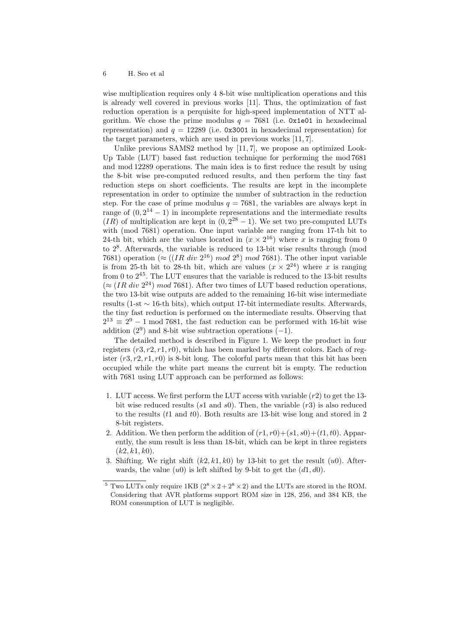wise multiplication requires only 4 8-bit wise multiplication operations and this is already well covered in previous works [11]. Thus, the optimization of fast reduction operation is a perquisite for high-speed implementation of NTT algorithm. We chose the prime modulus  $q = 7681$  (i.e. 0x1e01 in hexadecimal representation) and  $q = 12289$  (i.e. 0x3001 in hexadecimal representation) for the target parameters, which are used in previous works [11, 7].

Unlike previous SAMS2 method by [11, 7], we propose an optimized Look-Up Table (LUT) based fast reduction technique for performing the mod 7681 and mod 12289 operations. The main idea is to first reduce the result by using the 8-bit wise pre-computed reduced results, and then perform the tiny fast reduction steps on short coefficients. The results are kept in the incomplete representation in order to optimize the number of subtraction in the reduction step. For the case of prime modulus  $q = 7681$ , the variables are always kept in range of  $(0, 2^{14} - 1)$  in incomplete representations and the intermediate results (*IR*) of multiplication are kept in  $(0, 2^{28} - 1)$ . We set two pre-computed LUTs with (mod 7681) operation. One input variable are ranging from 17-th bit to 24-th bit, which are the values located in  $(x \times 2^{16})$  where *x* is ranging from 0 to 2<sup>8</sup> . Afterwards, the variable is reduced to 13-bit wise results through (mod 7681) operation ( $\approx$  ((*IR div* 2<sup>16</sup>) *mod* 2<sup>8</sup>) *mod* 7681). The other input variable is from 25-th bit to 28-th bit, which are values  $(x \times 2^{24})$  where *x* is ranging from 0 to  $2^{45}$ . The LUT ensures that the variable is reduced to the 13-bit results  $(\approx (IR \ div 2^{24}) \ mod 7681)$ . After two times of LUT based reduction operations, the two 13-bit wise outputs are added to the remaining 16-bit wise intermediate results (1-st *∼* 16-th bits), which output 17-bit intermediate results. Afterwards, the tiny fast reduction is performed on the intermediate results. Observing that  $2^{13} \equiv 2^9 - 1 \mod 7681$ , the fast reduction can be performed with 16-bit wise addition (2<sup>9</sup> ) and 8-bit wise subtraction operations (*−*1).

The detailed method is described in Figure 1. We keep the product in four registers (*r*3*, r*2*, r*1*, r*0), which has been marked by different colors. Each of register  $(r3, r2, r1, r0)$  is 8-bit long. The colorful parts mean that this bit has been occupied while the white part means the current bit is empty. The reduction with 7681 using LUT approach can be performed as follows:

- 1. LUT access. We first perform the LUT access with variable (*r*2) to get the 13 bit wise reduced results (*s*1 and *s*0). Then, the variable (*r*3) is also reduced to the results (*t*1 and *t*0). Both results are 13-bit wise long and stored in 2 8-bit registers.
- 2. Addition. We then perform the addition of  $(r1, r0) + (s1, s0) + (t1, t0)$ . Apparently, the sum result is less than 18-bit, which can be kept in three registers (*k*2*, k*1*, k*0).
- 3. Shifting. We right shift  $(k2, k1, k0)$  by 13-bit to get the result  $(u0)$ . Afterwards, the value  $(u0)$  is left shifted by 9-bit to get the  $(d1, d0)$ .

<sup>&</sup>lt;sup>5</sup> Two LUTs only require 1KB  $(2^8 \times 2 + 2^8 \times 2)$  and the LUTs are stored in the ROM. Considering that AVR platforms support ROM size in 128, 256, and 384 KB, the ROM consumption of LUT is negligible.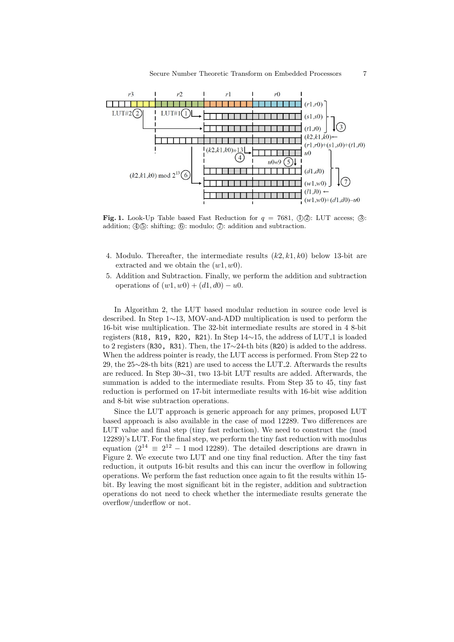

**Fig. 1.** Look-Up Table based Fast Reduction for  $q = 7681$ ,  $\left(\frac{1}{2}\right)$ : LUT access;  $\left(\frac{3}{2}\right)$ : addition;  $\Phi(\mathcal{D})$ : shifting;  $\Phi(\mathcal{D})$ : modulo;  $\Phi(\mathcal{D})$ : addition and subtraction.

- 4. Modulo. Thereafter, the intermediate results (*k*2*, k*1*, k*0) below 13-bit are extracted and we obtain the (*w*1*, w*0).
- 5. Addition and Subtraction. Finally, we perform the addition and subtraction operations of  $(w1, w0) + (d1, d0) - u0$ .

In Algorithm 2, the LUT based modular reduction in source code level is described. In Step 1*∼*13, MOV-and-ADD multiplication is used to perform the 16-bit wise multiplication. The 32-bit intermediate results are stored in 4 8-bit registers (R18, R19, R20, R21). In Step 14*∼*15, the address of LUT 1 is loaded to 2 registers (R30, R31). Then, the 17*∼*24-th bits (R20) is added to the address. When the address pointer is ready, the LUT access is performed. From Step 22 to 29, the 25∼28-th bits (R21) are used to access the LUT<sub>-2</sub>. Afterwards the results are reduced. In Step 30*∼*31, two 13-bit LUT results are added. Afterwards, the summation is added to the intermediate results. From Step 35 to 45, tiny fast reduction is performed on 17-bit intermediate results with 16-bit wise addition and 8-bit wise subtraction operations.

Since the LUT approach is generic approach for any primes, proposed LUT based approach is also available in the case of mod 12289. Two differences are LUT value and final step (tiny fast reduction). We need to construct the (mod 12289)'s LUT. For the final step, we perform the tiny fast reduction with modulus equation  $(2^{14} \equiv 2^{12} - 1 \mod 12289)$ . The detailed descriptions are drawn in Figure 2. We execute two LUT and one tiny final reduction. After the tiny fast reduction, it outputs 16-bit results and this can incur the overflow in following operations. We perform the fast reduction once again to fit the results within 15 bit. By leaving the most significant bit in the register, addition and subtraction operations do not need to check whether the intermediate results generate the overflow/underflow or not.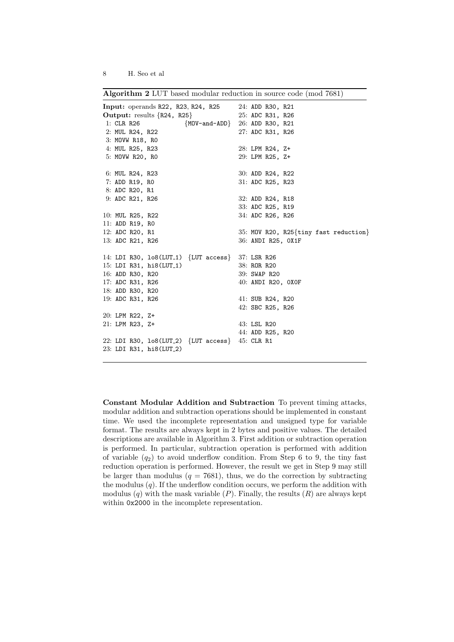**Algorithm 2** LUT based modular reduction in source code (mod 7681)

| <b>Input:</b> operands R22, R23, R24, R25                     | 24: ADD R30, R21                      |
|---------------------------------------------------------------|---------------------------------------|
| Output: results $\{R24, R25\}$                                | 25: ADC R31, R26                      |
| 1: CLR R26                                                    | ${MOV-and-ADD}$ 26: ADD R30, R21      |
| 2: MUL R24, R22                                               | 27: ADC R31, R26                      |
| 3: MOVW R18, RO                                               |                                       |
| 4: MUL R25, R23                                               | 28: LPM R24, Z+                       |
| 5: MOVW R20, RO                                               | 29: LPM R25, Z+                       |
| 6: MUL R24, R23                                               | 30: ADD R24, R22                      |
| 7: ADD R19, RO                                                | 31: ADC R25, R23                      |
| 8: ADC R20, R1                                                |                                       |
| 9: ADC R21, R26                                               | 32: ADD R24, R18                      |
|                                                               | 33: ADC R25, R19                      |
| 10: MUL R25, R22                                              | 34: ADC R26, R26                      |
| 11: ADD R19, RO                                               |                                       |
| 12: ADC R20, R1                                               | 35: MOV R20, R25{tiny fast reduction} |
| 13: ADC R21, R26                                              | 36: ANDI R25, OX1F                    |
| 14: LDI R30, 108(LUT <sub>-1</sub> ) {LUT access} 37: LSR R26 |                                       |
| 15: LDI R31, hi8(LUT_1)                                       | 38: ROR R20                           |
| 16: ADD R30, R20                                              | 39: SWAP R20                          |
| 17: ADC R31, R26                                              | 40: ANDI R20, OXOF                    |
| 18: ADD R30, R20                                              |                                       |
| 19: ADC R31, R26                                              | 41: SUB R24, R20                      |
|                                                               | 42: SBC R25, R26                      |
| 20: LPM R22, Z+                                               |                                       |
| 21: LPM R23, Z+                                               | 43: LSL R20                           |
|                                                               | 44: ADD R25, R20                      |
| 22: LDI R30, $lo8(LUT_2)$ {LUT access} 45: CLR R1             |                                       |
| 23: LDI R31, hi8(LUT_2)                                       |                                       |
|                                                               |                                       |

**Constant Modular Addition and Subtraction** To prevent timing attacks, modular addition and subtraction operations should be implemented in constant time. We used the incomplete representation and unsigned type for variable format. The results are always kept in 2 bytes and positive values. The detailed descriptions are available in Algorithm 3. First addition or subtraction operation is performed. In particular, subtraction operation is performed with addition of variable  $(q_2)$  to avoid underflow condition. From Step 6 to 9, the tiny fast reduction operation is performed. However, the result we get in Step 9 may still be larger than modulus  $(q = 7681)$ , thus, we do the correction by subtracting the modulus (*q*). If the underflow condition occurs, we perform the addition with modulus  $(q)$  with the mask variable  $(P)$ . Finally, the results  $(R)$  are always kept within 0x2000 in the incomplete representation.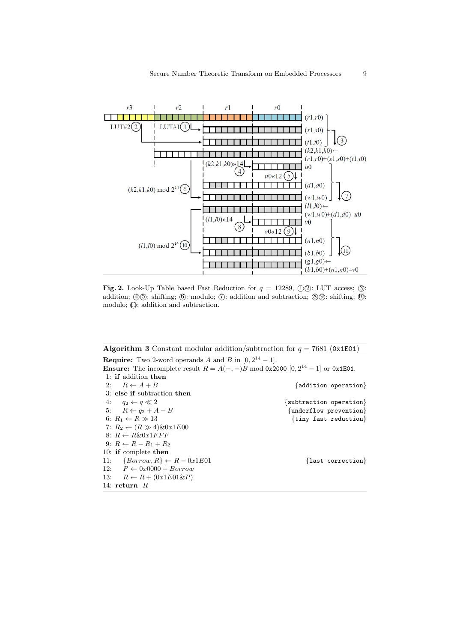

**Fig. 2.** Look-Up Table based Fast Reduction for  $q = 12289$ ,  $\Phi(1/2)$ : LUT access; (3): addition;  $\Phi(\mathcal{D})$ : shifting;  $\Phi$ ): modulo;  $\Phi$  : addition and subtraction;  $\Phi(\mathcal{D})$ : shifting;  $\Phi$ . modulo;  $\overline{1}$ : addition and subtraction.

**Algorithm 3** Constant modular addition/subtraction for  $q = 7681$  (0x1E01) **Require:** Two 2-word operands *A* and *B* in  $[0, 2^{14} - 1]$ . **Ensure:** The incomplete result  $R = A(+, -)B \text{ mod } 0x2000 [0, 2^{14} - 1]$  or  $0x1E01$ . 1: **if** addition **then** 2:  $R \leftarrow A + B$  {addition operation} 3: **else if** subtraction **then** 4: *q*<sup>2</sup> *← q ≪* 2 *{*subtraction operation*}* 5:  $R \leftarrow q_2 + A - B$  {underflow prevention} 6:  $R_1 \leftarrow R \gg 13$  {tiny fast reduction} 7:  $R_2 \leftarrow (R \gg 4) \& 0 \& 1 \& 00$ 8:  $R \leftarrow R\&0x1FFF$ 9:  $R ← R - R_1 + R_2$ 10: **if** complete **then** 11:  ${Borrow, R} \leftarrow R - 0x1E01$  {last correction} 12: *P ←* 0*x*0000 *− Borrow* 13:  $R \leftarrow R + (0x1E01\&P)$ 14: **return** *R*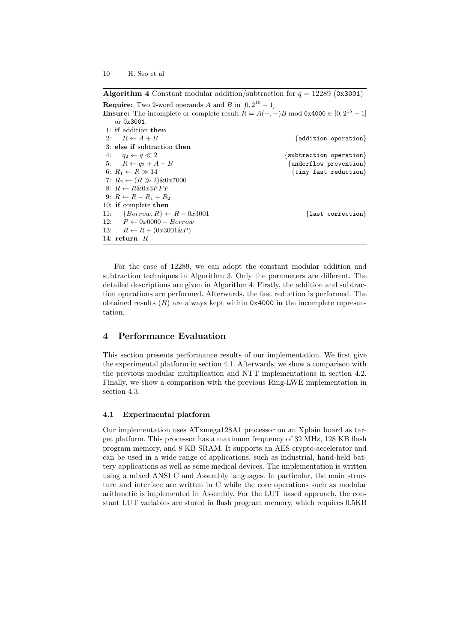**Algorithm 4** Constant modular addition/subtraction for  $q = 12289$  (0x3001)

| <b>Require:</b> Two 2-word operands A and B in $[0, 2^{15} - 1]$ .                                    |                                   |
|-------------------------------------------------------------------------------------------------------|-----------------------------------|
| <b>Ensure:</b> The incomplete or complete result $R = A(+,-)B \mod 0 \times 4000 \in [0, 2^{15} - 1]$ |                                   |
| or 0x3001.                                                                                            |                                   |
| 1: if addition then                                                                                   |                                   |
| 2: $R \leftarrow A + B$                                                                               | ${addition operation}$            |
| 3: else if subtraction then                                                                           |                                   |
| 4: $q_2 \leftarrow q \ll 2$                                                                           | $\{subtraction\ operation\}$      |
| 5: $R \leftarrow q_2 + A - B$                                                                         | $\{underflow\,\,prevention\}$     |
| 6: $R_1 \leftarrow R \gg 14$                                                                          | $\{tiny$ funy fast reduction $\}$ |
| 7: $R_2 \leftarrow (R \gg 2) \& 0x7000$                                                               |                                   |
| 8: $R \leftarrow R\&0x3FFF$                                                                           |                                   |
| 9: $R \leftarrow R - R_1 + R_2$                                                                       |                                   |
| 10: if complete then                                                                                  |                                   |
| 11: $\{Borrow, R\} \leftarrow R - 0x3001$                                                             | {last correction}                 |
| 12: $P \leftarrow 0x0000 - Borrow$                                                                    |                                   |
| 13: $R \leftarrow R + (0x3001 \& P)$                                                                  |                                   |
| 14: return $R$                                                                                        |                                   |

For the case of 12289, we can adopt the constant modular addition and subtraction techniques in Algorithm 3. Only the parameters are different. The detailed descriptions are given in Algorithm 4. Firstly, the addition and subtraction operations are performed. Afterwards, the fast reduction is performed. The obtained results  $(R)$  are always kept within 0x4000 in the incomplete representation.

# **4 Performance Evaluation**

This section presents performance results of our implementation. We first give the experimental platform in section 4.1. Afterwards, we show a comparison with the previous modular multiplication and NTT implementations in section 4.2. Finally, we show a comparison with the previous Ring-LWE implementation in section 4.3.

## **4.1 Experimental platform**

Our implementation uses ATxmega128A1 processor on an Xplain board as target platform. This processor has a maximum frequency of 32 MHz, 128 KB flash program memory, and 8 KB SRAM. It supports an AES crypto-accelerator and can be used in a wide range of applications, such as industrial, hand-held battery applications as well as some medical devices. The implementation is written using a mixed ANSI C and Assembly languages. In particular, the main structure and interface are written in C while the core operations such as modular arithmetic is implemented in Assembly. For the LUT based approach, the constant LUT variables are stored in flash program memory, which requires 0.5KB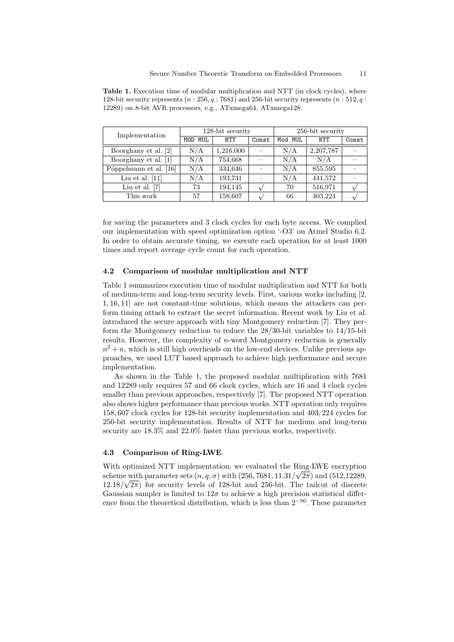| Implementation         | 128-bit security |           |       | 256-bit security |            |       |
|------------------------|------------------|-----------|-------|------------------|------------|-------|
|                        | MOD MUL          | NTT       | Const | Mod MUL          | <b>NTT</b> | Const |
| Boorghany et al. [2]   | N/A              | 1,216,000 |       | N/A              | 2,207,787  |       |
| Boorghany et al. [1]   | N/A              | 754,668   |       | N/A              | N/A        |       |
| Pöppelmann et al. [16] | N/A              | 334,646   |       | N/A              | 855,595    |       |
| Liu et al. $[11]$      | N/A              | 193,731   |       | N/A              | 441,572    |       |
| Liu et al. $[7]$       | 73               | 194,145   |       | 70               | 516,971    |       |
| This work              | 57               | 158,607   |       | 66               | 403,224    |       |

**Table 1.** Execution time of modular multiplication and NTT (in clock cycles), where 128-bit security represents (*n* : 256*, q* : 7681) and 256-bit security represents (*n* : 512*, q* : 12289) on 8-bit AVR processors, e.g., ATxmega64, ATxmega128.

for saving the parameters and 3 clock cycles for each byte access. We complied our implementation with speed optimization option '-O3' on Atmel Studio 6.2. In order to obtain accurate timing, we execute each operation for at least 1000 times and report average cycle count for each operation.

## **4.2 Comparison of modular multiplication and NTT**

Table 1 summarizes execution time of modular multiplication and NTT for both of medium-term and long-term security levels. First, various works including [2, 1, 16, 11] are not constant-time solutions, which means the attackers can perform timing attack to extract the secret information. Recent work by Liu et al. introduced the secure approach with tiny Montgomery reduction [7]. They perform the Montgomery reduction to reduce the 28/30-bit variables to 14/15-bit results. However, the complexity of *n*-word Montgomery reduction is generally  $n^2 + n$ , which is still high overheads on the low-end devices. Unlike previous approaches, we used LUT based approach to achieve high performance and secure implementation.

As shown in the Table 1, the proposed modular multiplication with 7681 and 12289 only requires 57 and 66 clock cycles, which are 16 and 4 clock cycles smaller than previous approaches, respectively [7]. The proposed NTT operation also shows higher performance than previous works. NTT operation only requires 158*,* 607 clock cycles for 128-bit security implementation and 403*,* 224 cycles for 256-bit security implementation. Results of NTT for medium and long-term security are 18*.*3% and 22*.*0% faster than previous works, respectively.

#### **4.3 Comparison of Ring-LWE**

With optimized NTT implementation, we evaluated the Ring-LWE encryption *√* scheme with parameter sets  $(n, q, \sigma)$  with  $(256, 7681, 11.31/\sqrt{2\pi})$  and  $(512, 12289, 12289)$  $12.18/\sqrt{2\pi}$  for security levels of 128-bit and 256-bit. The tailcut of discrete Gaussian sampler is limited to  $12\sigma$  to achieve a high precision statistical difference from the theoretical distribution, which is less than 2*−*<sup>90</sup>. These parameter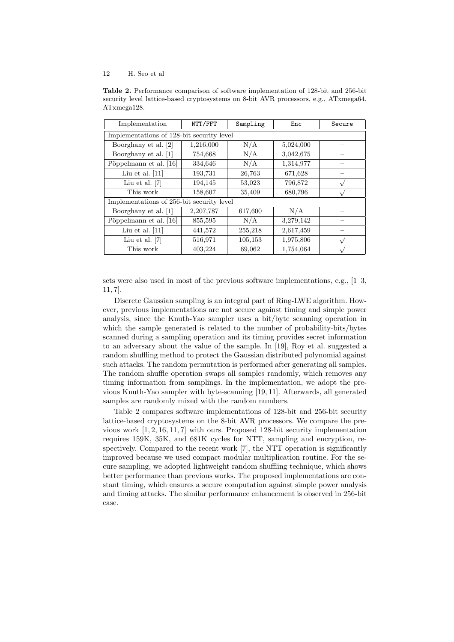**Table 2.** Performance comparison of software implementation of 128-bit and 256-bit security level lattice-based cryptosystems on 8-bit AVR processors, e.g., ATxmega64, ATxmega128.

| Implementation                            | NTT/FFT   | Sampling | Enc       | Secure |  |  |  |
|-------------------------------------------|-----------|----------|-----------|--------|--|--|--|
| Implementations of 128-bit security level |           |          |           |        |  |  |  |
| Boorghany et al. [2]                      | 1,216,000 | N/A      | 5,024,000 |        |  |  |  |
| Boorghany et al. [1]                      | 754,668   | N/A      | 3,042,675 |        |  |  |  |
| Pöppelmann et al. [16]                    | 334,646   | N/A      | 1,314,977 |        |  |  |  |
| Liu et al. $[11]$                         | 193,731   | 26,763   | 671,628   |        |  |  |  |
| Liu et al. $[7]$                          | 194,145   | 53,023   | 796,872   |        |  |  |  |
| This work                                 | 158,607   | 35,409   | 680,796   |        |  |  |  |
| Implementations of 256-bit security level |           |          |           |        |  |  |  |
| Boorghany et al. [1]                      | 2,207,787 | 617,600  | N/A       |        |  |  |  |
| Pöppelmann et al. [16]                    | 855,595   | N/A      | 3,279,142 |        |  |  |  |
| Liu et al. $[11]$                         | 441,572   | 255,218  | 2,617,459 |        |  |  |  |
| Liu et al. $[7]$                          | 516,971   | 105,153  | 1,975,806 | v      |  |  |  |
| This work                                 | 403,224   | 69,062   | 1,754,064 |        |  |  |  |

sets were also used in most of the previous software implementations, e.g., [1–3, 11, 7].

Discrete Gaussian sampling is an integral part of Ring-LWE algorithm. However, previous implementations are not secure against timing and simple power analysis, since the Knuth-Yao sampler uses a bit/byte scanning operation in which the sample generated is related to the number of probability-bits/bytes scanned during a sampling operation and its timing provides secret information to an adversary about the value of the sample. In [19], Roy et al. suggested a random shuffling method to protect the Gaussian distributed polynomial against such attacks. The random permutation is performed after generating all samples. The random shuffle operation swaps all samples randomly, which removes any timing information from samplings. In the implementation, we adopt the previous Knuth-Yao sampler with byte-scanning [19, 11]. Afterwards, all generated samples are randomly mixed with the random numbers.

Table 2 compares software implementations of 128-bit and 256-bit security lattice-based cryptosystems on the 8-bit AVR processors. We compare the previous work [1, 2, 16, 11, 7] with ours. Proposed 128-bit security implementation requires 159K, 35K, and 681K cycles for NTT, sampling and encryption, respectively. Compared to the recent work [7], the NTT operation is significantly improved because we used compact modular multiplication routine. For the secure sampling, we adopted lightweight random shuffling technique, which shows better performance than previous works. The proposed implementations are constant timing, which ensures a secure computation against simple power analysis and timing attacks. The similar performance enhancement is observed in 256-bit case.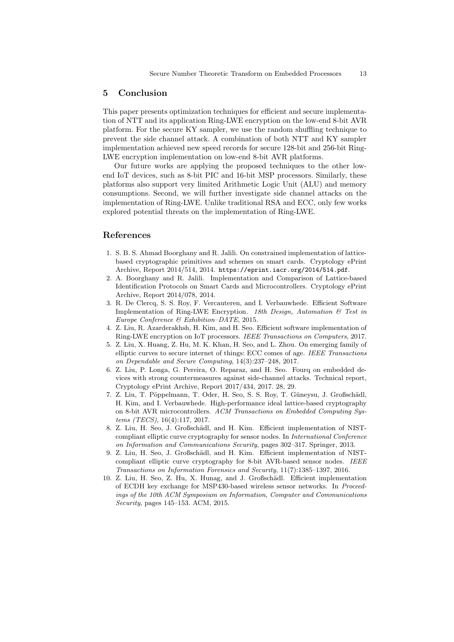## **5 Conclusion**

This paper presents optimization techniques for efficient and secure implementation of NTT and its application Ring-LWE encryption on the low-end 8-bit AVR platform. For the secure KY sampler, we use the random shuffling technique to prevent the side channel attack. A combination of both NTT and KY sampler implementation achieved new speed records for secure 128-bit and 256-bit Ring-LWE encryption implementation on low-end 8-bit AVR platforms.

Our future works are applying the proposed techniques to the other lowend IoT devices, such as 8-bit PIC and 16-bit MSP processors. Similarly, these platforms also support very limited Arithmetic Logic Unit (ALU) and memory consumptions. Second, we will further investigate side channel attacks on the implementation of Ring-LWE. Unlike traditional RSA and ECC, only few works explored potential threats on the implementation of Ring-LWE.

## **References**

- 1. S. B. S. Ahmad Boorghany and R. Jalili. On constrained implementation of latticebased cryptographic primitives and schemes on smart cards. Cryptology ePrint Archive, Report 2014/514, 2014. https://eprint.iacr.org/2014/514.pdf.
- 2. A. Boorghany and R. Jalili. Implementation and Comparison of Lattice-based Identification Protocols on Smart Cards and Microcontrollers. Cryptology ePrint Archive, Report 2014/078, 2014.
- 3. R. De Clercq, S. S. Roy, F. Vercauteren, and I. Verbauwhede. Efficient Software Implementation of Ring-LWE Encryption. *18th Design, Automation & Test in Europe Conference & Exhibition–DATE*, 2015.
- 4. Z. Liu, R. Azarderakhsh, H. Kim, and H. Seo. Efficient software implementation of Ring-LWE encryption on IoT processors. *IEEE Transactions on Computers*, 2017.
- 5. Z. Liu, X. Huang, Z. Hu, M. K. Khan, H. Seo, and L. Zhou. On emerging family of elliptic curves to secure internet of things: ECC comes of age. *IEEE Transactions on Dependable and Secure Computing*, 14(3):237–248, 2017.
- 6. Z. Liu, P. Longa, G. Pereira, O. Reparaz, and H. Seo. Fourq on embedded devices with strong countermeasures against side-channel attacks. Technical report, Cryptology ePrint Archive, Report 2017/434, 2017. 28, 29.
- 7. Z. Liu, T. Pöppelmann, T. Oder, H. Seo, S. S. Roy, T. Güneysu, J. Großschädl, H. Kim, and I. Verbauwhede. High-performance ideal lattice-based cryptography on 8-bit AVR microcontrollers. *ACM Transactions on Embedded Computing Systems (TECS)*, 16(4):117, 2017.
- 8. Z. Liu, H. Seo, J. Großschädl, and H. Kim. Efficient implementation of NISTcompliant elliptic curve cryptography for sensor nodes. In *International Conference on Information and Communications Security*, pages 302–317. Springer, 2013.
- 9. Z. Liu, H. Seo, J. Großschädl, and H. Kim. Efficient implementation of NISTcompliant elliptic curve cryptography for 8-bit AVR-based sensor nodes. *IEEE Transactions on Information Forensics and Security*, 11(7):1385–1397, 2016.
- 10. Z. Liu, H. Seo, Z. Hu, X. Hunag, and J. Großschädl. Efficient implementation of ECDH key exchange for MSP430-based wireless sensor networks. In *Proceedings of the 10th ACM Symposium on Information, Computer and Communications Security*, pages 145–153. ACM, 2015.